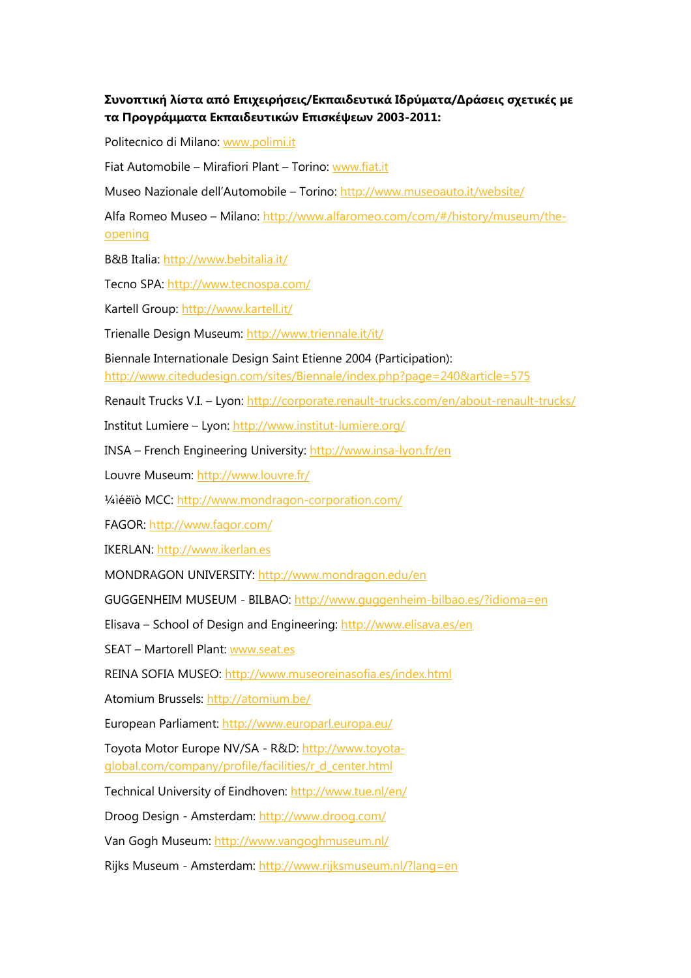## Συνοπτική λίστα από Επιχειρήσεις/Εκπαιδευτικά Ιδρύµατα/∆ράσεις σχετικές µε τα Προγράµµατα Εκπαιδευτικών Επισκέψεων 2003-2011:

Politecnico di Milano: www.polimi.it

Fiat Automobile – Mirafiori Plant – Torino: www.fiat.it

Museo Nazionale dell'Automobile – Torino: http://www.museoauto.it/website/

Alfa Romeo Museo - Milano: http://www.alfaromeo.com/com/#/history/museum/theopening

B&B Italia: http://www.bebitalia.it/

Tecno SPA: http://www.tecnospa.com/

Kartell Group: http://www.kartell.it/

Trienalle Design Museum: http://www.triennale.it/it/

Biennale Internationale Design Saint Etienne 2004 (Participation):

http://www.citedudesign.com/sites/Biennale/index.php?page=240&article=575

Renault Trucks V.I. – Lyon: http://corporate.renault-trucks.com/en/about-renault-trucks/

Institut Lumiere – Lyon: http://www.institut-lumiere.org/

INSA – French Engineering University: http://www.insa-lyon.fr/en

Louvre Museum: http://www.louvre.fr/

¼ìéëïò MCC: http://www.mondragon-corporation.com/

FAGOR: http://www.fagor.com/

IKERLAN: http://www.ikerlan.es

MONDRAGON UNIVERSITY: http://www.mondragon.edu/en

GUGGENHEIM MUSEUM - BILBAO: http://www.guggenheim-bilbao.es/?idioma=en

Elisava – School of Design and Engineering: http://www.elisava.es/en

SEAT – Martorell Plant: www.seat.es

REINA SOFIA MUSEO: http://www.museoreinasofia.es/index.html

Atomium Brussels: http://atomium.be/

European Parliament: http://www.europarl.europa.eu/

Toyota Motor Europe NV/SA - R&D: http://www.toyotaglobal.com/company/profile/facilities/r\_d\_center.html

Technical University of Eindhoven: http://www.tue.nl/en/

Droog Design - Amsterdam: http://www.droog.com/

Van Gogh Museum: http://www.vangoghmuseum.nl/

Rijks Museum - Amsterdam: http://www.rijksmuseum.nl/?lang=en